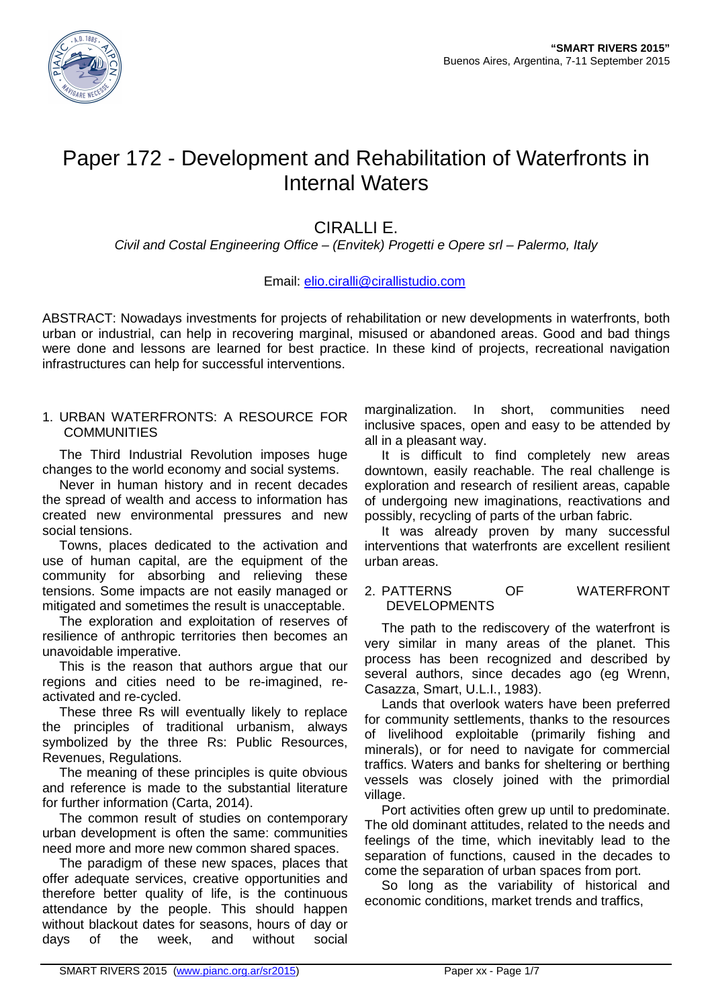

## Paper 172 - Development and Rehabilitation of Waterfronts in Internal Waters

### CIRALLI E.

Civil and Costal Engineering Office – (Envitek) Progetti e Opere srl – Palermo, Italy

#### Email: elio.ciralli@cirallistudio.com

ABSTRACT: Nowadays investments for projects of rehabilitation or new developments in waterfronts, both urban or industrial, can help in recovering marginal, misused or abandoned areas. Good and bad things were done and lessons are learned for best practice. In these kind of projects, recreational navigation infrastructures can help for successful interventions.

#### 1. URBAN WATERFRONTS: A RESOURCE FOR **COMMUNITIES**

The Third Industrial Revolution imposes huge changes to the world economy and social systems.

Never in human history and in recent decades the spread of wealth and access to information has created new environmental pressures and new social tensions.

Towns, places dedicated to the activation and use of human capital, are the equipment of the community for absorbing and relieving these tensions. Some impacts are not easily managed or mitigated and sometimes the result is unacceptable.

The exploration and exploitation of reserves of resilience of anthropic territories then becomes an unavoidable imperative.

This is the reason that authors argue that our regions and cities need to be re-imagined, reactivated and re-cycled.

These three Rs will eventually likely to replace the principles of traditional urbanism, always symbolized by the three Rs: Public Resources, Revenues, Regulations.

The meaning of these principles is quite obvious and reference is made to the substantial literature for further information (Carta, 2014).

The common result of studies on contemporary urban development is often the same: communities need more and more new common shared spaces.

The paradigm of these new spaces, places that offer adequate services, creative opportunities and therefore better quality of life, is the continuous attendance by the people. This should happen without blackout dates for seasons, hours of day or days of the week, and without social

marginalization. In short, communities need inclusive spaces, open and easy to be attended by all in a pleasant way.

It is difficult to find completely new areas downtown, easily reachable. The real challenge is exploration and research of resilient areas, capable of undergoing new imaginations, reactivations and possibly, recycling of parts of the urban fabric.

It was already proven by many successful interventions that waterfronts are excellent resilient urban areas.

#### 2. PATTERNS OF WATERFRONT DEVELOPMENTS

The path to the rediscovery of the waterfront is very similar in many areas of the planet. This process has been recognized and described by several authors, since decades ago (eg Wrenn, Casazza, Smart, U.L.I., 1983).

Lands that overlook waters have been preferred for community settlements, thanks to the resources of livelihood exploitable (primarily fishing and minerals), or for need to navigate for commercial traffics. Waters and banks for sheltering or berthing vessels was closely joined with the primordial village.

Port activities often grew up until to predominate. The old dominant attitudes, related to the needs and feelings of the time, which inevitably lead to the separation of functions, caused in the decades to come the separation of urban spaces from port.

So long as the variability of historical and economic conditions, market trends and traffics,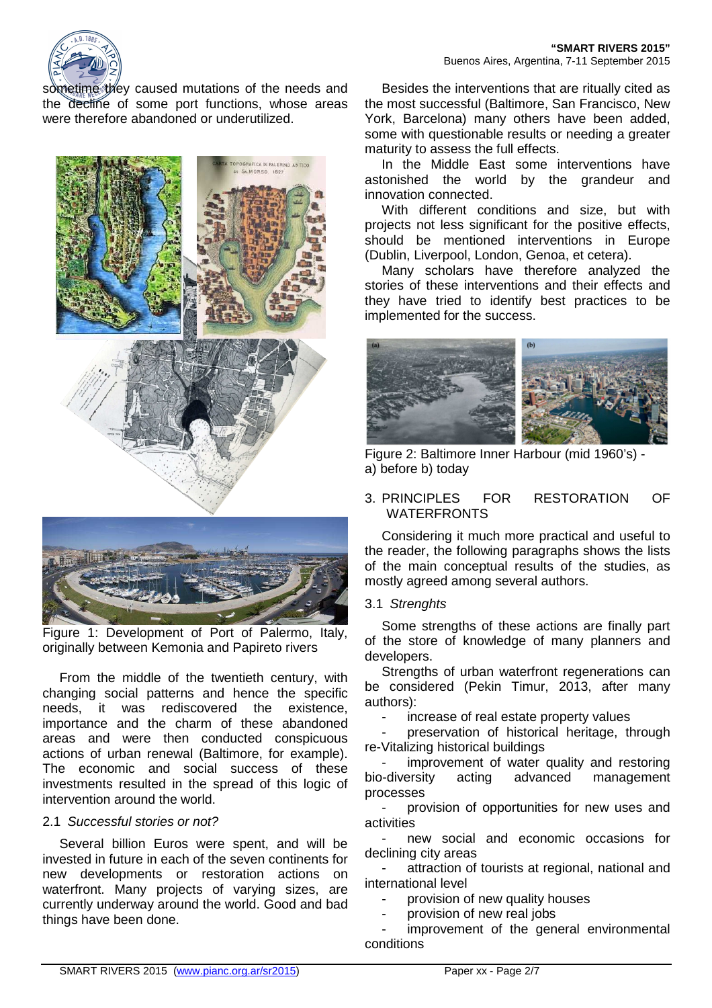sometime they caused mutations of the needs and the decline of some port functions, whose areas were therefore abandoned or underutilized.





Figure 1: Development of Port of Palermo, Italy, originally between Kemonia and Papireto rivers

From the middle of the twentieth century, with changing social patterns and hence the specific needs, it was rediscovered the existence, importance and the charm of these abandoned areas and were then conducted conspicuous actions of urban renewal (Baltimore, for example). The economic and social success of these investments resulted in the spread of this logic of intervention around the world.

#### 2.1 Successful stories or not?

Several billion Euros were spent, and will be invested in future in each of the seven continents for new developments or restoration actions on waterfront. Many projects of varying sizes, are currently underway around the world. Good and bad things have been done.

Besides the interventions that are ritually cited as the most successful (Baltimore, San Francisco, New York, Barcelona) many others have been added, some with questionable results or needing a greater maturity to assess the full effects.

In the Middle East some interventions have astonished the world by the grandeur and innovation connected.

With different conditions and size, but with projects not less significant for the positive effects, should be mentioned interventions in Europe (Dublin, Liverpool, London, Genoa, et cetera).

Many scholars have therefore analyzed the stories of these interventions and their effects and they have tried to identify best practices to be implemented for the success.



Figure 2: Baltimore Inner Harbour (mid 1960's) a) before b) today

#### 3. PRINCIPLES FOR RESTORATION OF WATERFRONTS

Considering it much more practical and useful to the reader, the following paragraphs shows the lists of the main conceptual results of the studies, as mostly agreed among several authors.

#### 3.1 Strenghts

Some strengths of these actions are finally part of the store of knowledge of many planners and developers.

Strengths of urban waterfront regenerations can be considered (Pekin Timur, 2013, after many authors):

increase of real estate property values

preservation of historical heritage, through re-Vitalizing historical buildings

improvement of water quality and restoring bio-diversity acting advanced management processes

provision of opportunities for new uses and activities

new social and economic occasions for declining city areas

attraction of tourists at regional, national and international level

provision of new quality houses

provision of new real jobs

improvement of the general environmental conditions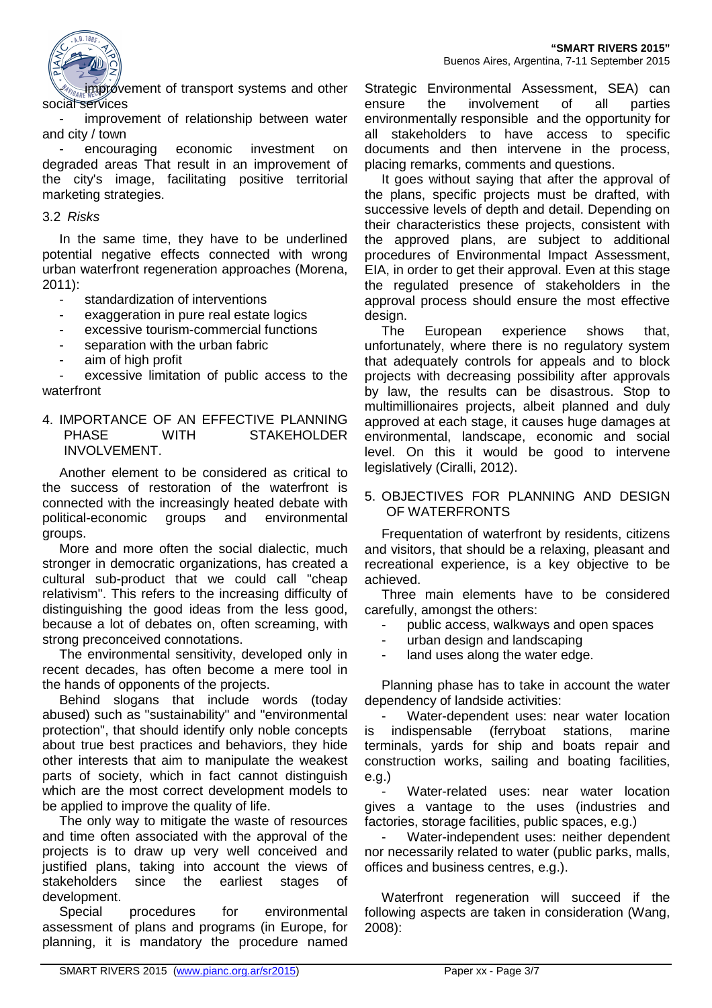

improvement of transport systems and other social services

improvement of relationship between water and city / town

encouraging economic investment on degraded areas That result in an improvement of the city's image, facilitating positive territorial marketing strategies.

#### 3.2 Risks

In the same time, they have to be underlined potential negative effects connected with wrong urban waterfront regeneration approaches (Morena, 2011):

- standardization of interventions
- exaggeration in pure real estate logics
- excessive tourism-commercial functions
- separation with the urban fabric
- aim of high profit

excessive limitation of public access to the waterfront

4. IMPORTANCE OF AN EFFECTIVE PLANNING PHASE WITH STAKEHOLDER INVOLVEMENT.

Another element to be considered as critical to the success of restoration of the waterfront is connected with the increasingly heated debate with political-economic groups and environmental groups.

More and more often the social dialectic, much stronger in democratic organizations, has created a cultural sub-product that we could call "cheap relativism". This refers to the increasing difficulty of distinguishing the good ideas from the less good, because a lot of debates on, often screaming, with strong preconceived connotations.

The environmental sensitivity, developed only in recent decades, has often become a mere tool in the hands of opponents of the projects.

Behind slogans that include words (today abused) such as "sustainability" and "environmental protection", that should identify only noble concepts about true best practices and behaviors, they hide other interests that aim to manipulate the weakest parts of society, which in fact cannot distinguish which are the most correct development models to be applied to improve the quality of life.

The only way to mitigate the waste of resources and time often associated with the approval of the projects is to draw up very well conceived and justified plans, taking into account the views of stakeholders since the earliest stages of development.

Special procedures for environmental assessment of plans and programs (in Europe, for planning, it is mandatory the procedure named Strategic Environmental Assessment, SEA) can ensure the involvement of all parties environmentally responsible and the opportunity for all stakeholders to have access to specific documents and then intervene in the process, placing remarks, comments and questions.

It goes without saying that after the approval of the plans, specific projects must be drafted, with successive levels of depth and detail. Depending on their characteristics these projects, consistent with the approved plans, are subject to additional procedures of Environmental Impact Assessment, EIA, in order to get their approval. Even at this stage the regulated presence of stakeholders in the approval process should ensure the most effective design.

The European experience shows that, unfortunately, where there is no regulatory system that adequately controls for appeals and to block projects with decreasing possibility after approvals by law, the results can be disastrous. Stop to multimillionaires projects, albeit planned and duly approved at each stage, it causes huge damages at environmental, landscape, economic and social level. On this it would be good to intervene legislatively (Ciralli, 2012).

#### 5. OBJECTIVES FOR PLANNING AND DESIGN OF WATERFRONTS

Frequentation of waterfront by residents, citizens and visitors, that should be a relaxing, pleasant and recreational experience, is a key objective to be achieved.

Three main elements have to be considered carefully, amongst the others:

- public access, walkways and open spaces

urban design and landscaping

land uses along the water edge.

Planning phase has to take in account the water dependency of landside activities:

Water-dependent uses: near water location is indispensable (ferryboat stations, marine terminals, yards for ship and boats repair and construction works, sailing and boating facilities, e.g.)

Water-related uses: near water location gives a vantage to the uses (industries and factories, storage facilities, public spaces, e.g.)

Water-independent uses: neither dependent nor necessarily related to water (public parks, malls, offices and business centres, e.g.).

Waterfront regeneration will succeed if the following aspects are taken in consideration (Wang, 2008):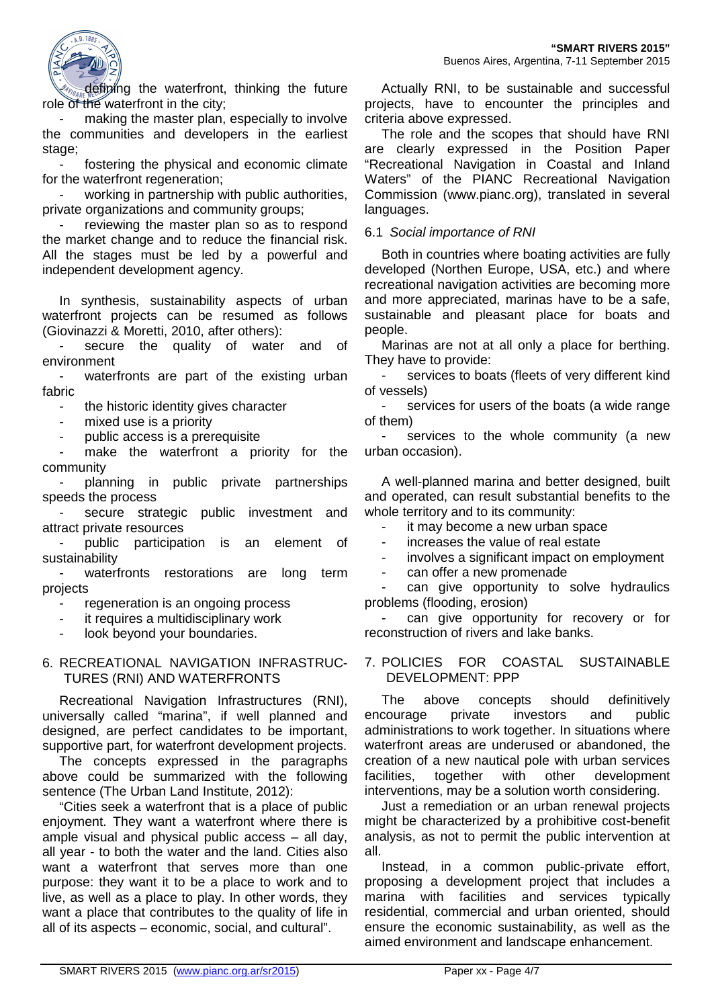

defining the waterfront, thinking the future role of the waterfront in the city:

making the master plan, especially to involve the communities and developers in the earliest stage;

fostering the physical and economic climate for the waterfront regeneration;

working in partnership with public authorities, private organizations and community groups;

reviewing the master plan so as to respond the market change and to reduce the financial risk. All the stages must be led by a powerful and independent development agency.

In synthesis, sustainability aspects of urban waterfront projects can be resumed as follows (Giovinazzi & Moretti, 2010, after others):

secure the quality of water and of environment

- waterfronts are part of the existing urban fabric

the historic identity gives character

mixed use is a priority

public access is a prerequisite

make the waterfront a priority for the community

planning in public private partnerships speeds the process

secure strategic public investment and attract private resources

public participation is an element of sustainability

waterfronts restorations are long term projects

- regeneration is an ongoing process
- it requires a multidisciplinary work

look beyond your boundaries.

#### 6. RECREATIONAL NAVIGATION INFRASTRUC-TURES (RNI) AND WATERFRONTS

Recreational Navigation Infrastructures (RNI), universally called "marina", if well planned and designed, are perfect candidates to be important, supportive part, for waterfront development projects.

The concepts expressed in the paragraphs above could be summarized with the following sentence (The Urban Land Institute, 2012):

"Cities seek a waterfront that is a place of public enjoyment. They want a waterfront where there is ample visual and physical public access – all day, all year - to both the water and the land. Cities also want a waterfront that serves more than one purpose: they want it to be a place to work and to live, as well as a place to play. In other words, they want a place that contributes to the quality of life in all of its aspects – economic, social, and cultural".

Actually RNI, to be sustainable and successful projects, have to encounter the principles and criteria above expressed.

The role and the scopes that should have RNI are clearly expressed in the Position Paper "Recreational Navigation in Coastal and Inland Waters" of the PIANC Recreational Navigation Commission (www.pianc.org), translated in several languages.

#### 6.1 Social importance of RNI

Both in countries where boating activities are fully developed (Northen Europe, USA, etc.) and where recreational navigation activities are becoming more and more appreciated, marinas have to be a safe, sustainable and pleasant place for boats and people.

Marinas are not at all only a place for berthing. They have to provide:

services to boats (fleets of very different kind of vessels)

- services for users of the boats (a wide range of them)

services to the whole community (a new urban occasion).

A well-planned marina and better designed, built and operated, can result substantial benefits to the whole territory and to its community:

it may become a new urban space

increases the value of real estate

involves a significant impact on employment

can offer a new promenade

can give opportunity to solve hydraulics problems (flooding, erosion)

can give opportunity for recovery or for reconstruction of rivers and lake banks.

#### 7. POLICIES FOR COASTAL SUSTAINABLE DEVELOPMENT: PPP

The above concepts should definitively encourage private investors and public administrations to work together. In situations where waterfront areas are underused or abandoned, the creation of a new nautical pole with urban services facilities, together with other development interventions, may be a solution worth considering.

Just a remediation or an urban renewal projects might be characterized by a prohibitive cost-benefit analysis, as not to permit the public intervention at all.

Instead, in a common public-private effort, proposing a development project that includes a marina with facilities and services typically residential, commercial and urban oriented, should ensure the economic sustainability, as well as the aimed environment and landscape enhancement.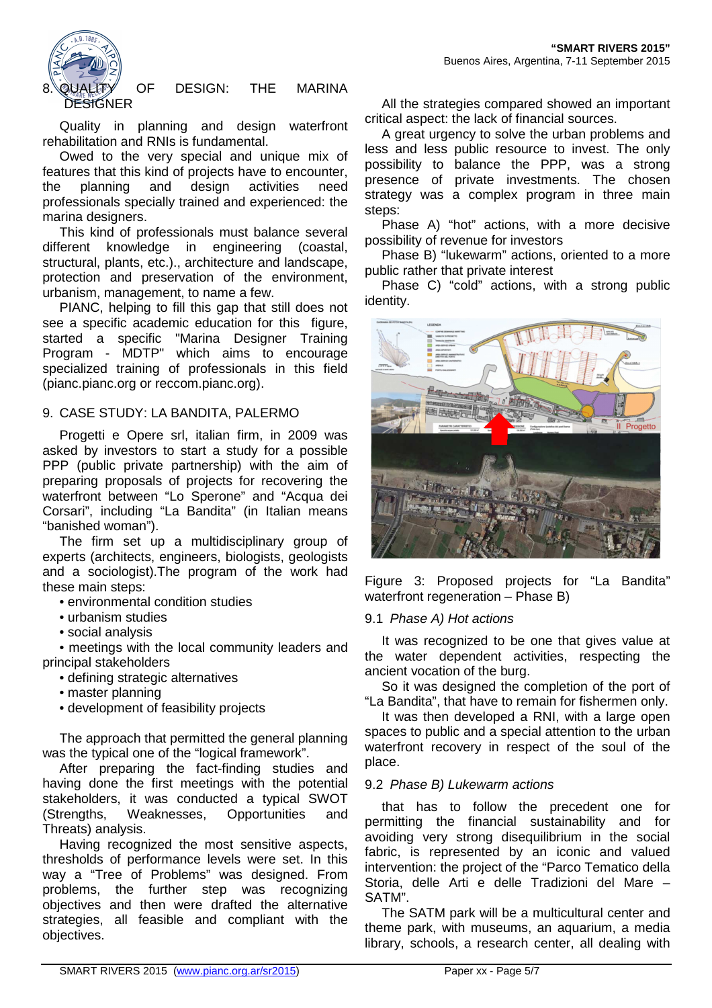

# 8. QUALITY OF DESIGN: THE MARINA

Quality in planning and design waterfront rehabilitation and RNIs is fundamental.

Owed to the very special and unique mix of features that this kind of projects have to encounter, the planning and design activities need professionals specially trained and experienced: the marina designers.

This kind of professionals must balance several different knowledge in engineering (coastal, structural, plants, etc.)., architecture and landscape, protection and preservation of the environment, urbanism, management, to name a few.

PIANC, helping to fill this gap that still does not see a specific academic education for this figure, started a specific "Marina Designer Training Program - MDTP" which aims to encourage specialized training of professionals in this field (pianc.pianc.org or reccom.pianc.org).

#### 9. CASE STUDY: LA BANDITA, PALERMO

Progetti e Opere srl, italian firm, in 2009 was asked by investors to start a study for a possible PPP (public private partnership) with the aim of preparing proposals of projects for recovering the waterfront between "Lo Sperone" and "Acqua dei Corsari", including "La Bandita" (in Italian means "banished woman").

The firm set up a multidisciplinary group of experts (architects, engineers, biologists, geologists and a sociologist).The program of the work had these main steps:

- environmental condition studies
- urbanism studies
- social analysis

• meetings with the local community leaders and principal stakeholders

- defining strategic alternatives
- master planning
- development of feasibility projects

The approach that permitted the general planning was the typical one of the "logical framework".

After preparing the fact-finding studies and having done the first meetings with the potential stakeholders, it was conducted a typical SWOT (Strengths, Weaknesses, Opportunities and Threats) analysis.

Having recognized the most sensitive aspects, thresholds of performance levels were set. In this way a "Tree of Problems" was designed. From problems, the further step was recognizing objectives and then were drafted the alternative strategies, all feasible and compliant with the objectives.

All the strategies compared showed an important critical aspect: the lack of financial sources.

A great urgency to solve the urban problems and less and less public resource to invest. The only possibility to balance the PPP, was a strong presence of private investments. The chosen strategy was a complex program in three main steps:

Phase A) "hot" actions, with a more decisive possibility of revenue for investors

Phase B) "lukewarm" actions, oriented to a more public rather that private interest

Phase C) "cold" actions, with a strong public identity.



Figure 3: Proposed projects for "La Bandita" waterfront regeneration – Phase B)

#### 9.1 Phase A) Hot actions

It was recognized to be one that gives value at the water dependent activities, respecting the ancient vocation of the burg.

So it was designed the completion of the port of "La Bandita", that have to remain for fishermen only.

It was then developed a RNI, with a large open spaces to public and a special attention to the urban waterfront recovery in respect of the soul of the place.

#### 9.2 Phase B) Lukewarm actions

that has to follow the precedent one for permitting the financial sustainability and for avoiding very strong disequilibrium in the social fabric, is represented by an iconic and valued intervention: the project of the "Parco Tematico della Storia, delle Arti e delle Tradizioni del Mare – SATM".

The SATM park will be a multicultural center and theme park, with museums, an aquarium, a media library, schools, a research center, all dealing with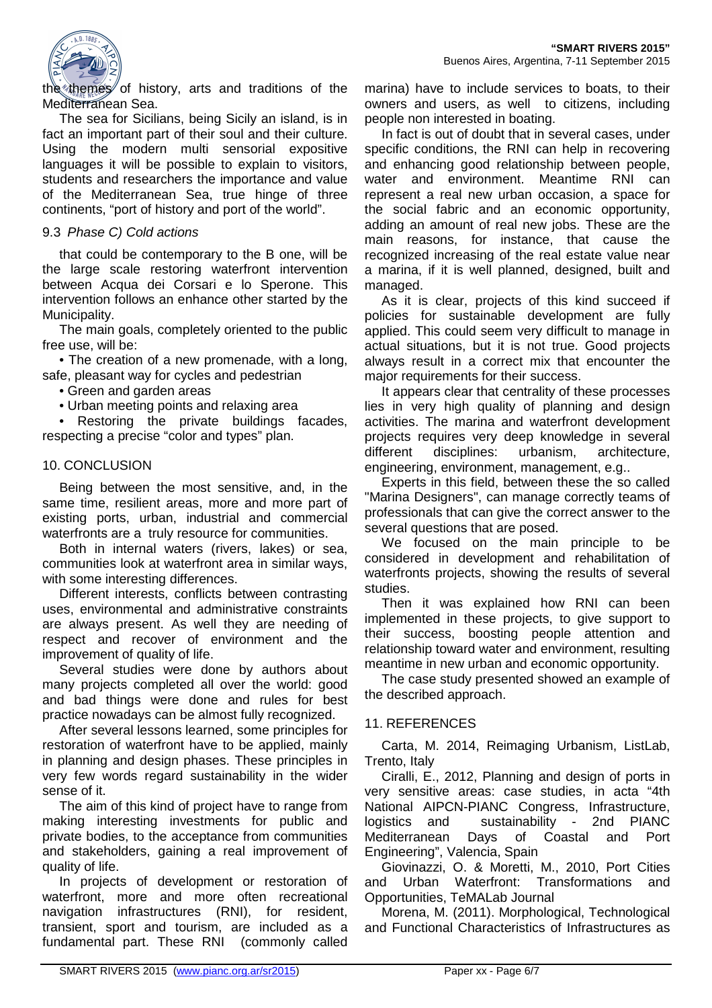

the themes of history, arts and traditions of the Mediterranean Sea.

The sea for Sicilians, being Sicily an island, is in fact an important part of their soul and their culture. Using the modern multi sensorial expositive languages it will be possible to explain to visitors, students and researchers the importance and value of the Mediterranean Sea, true hinge of three continents, "port of history and port of the world".

#### 9.3 Phase C) Cold actions

that could be contemporary to the B one, will be the large scale restoring waterfront intervention between Acqua dei Corsari e lo Sperone. This intervention follows an enhance other started by the Municipality.

The main goals, completely oriented to the public free use, will be:

• The creation of a new promenade, with a long, safe, pleasant way for cycles and pedestrian

• Green and garden areas

• Urban meeting points and relaxing area

• Restoring the private buildings facades, respecting a precise "color and types" plan.

#### 10. CONCLUSION

Being between the most sensitive, and, in the same time, resilient areas, more and more part of existing ports, urban, industrial and commercial waterfronts are a truly resource for communities.

Both in internal waters (rivers, lakes) or sea, communities look at waterfront area in similar ways, with some interesting differences.

Different interests, conflicts between contrasting uses, environmental and administrative constraints are always present. As well they are needing of respect and recover of environment and the improvement of quality of life.

Several studies were done by authors about many projects completed all over the world: good and bad things were done and rules for best practice nowadays can be almost fully recognized.

After several lessons learned, some principles for restoration of waterfront have to be applied, mainly in planning and design phases. These principles in very few words regard sustainability in the wider sense of it.

The aim of this kind of project have to range from making interesting investments for public and private bodies, to the acceptance from communities and stakeholders, gaining a real improvement of quality of life.

In projects of development or restoration of waterfront, more and more often recreational navigation infrastructures (RNI), for resident, transient, sport and tourism, are included as a fundamental part. These RNI (commonly called

marina) have to include services to boats, to their owners and users, as well to citizens, including people non interested in boating.

In fact is out of doubt that in several cases, under specific conditions, the RNI can help in recovering and enhancing good relationship between people, water and environment. Meantime RNI can represent a real new urban occasion, a space for the social fabric and an economic opportunity, adding an amount of real new jobs. These are the main reasons, for instance, that cause the recognized increasing of the real estate value near a marina, if it is well planned, designed, built and managed.

As it is clear, projects of this kind succeed if policies for sustainable development are fully applied. This could seem very difficult to manage in actual situations, but it is not true. Good projects always result in a correct mix that encounter the major requirements for their success.

It appears clear that centrality of these processes lies in very high quality of planning and design activities. The marina and waterfront development projects requires very deep knowledge in several different disciplines: urbanism, architecture, engineering, environment, management, e.g..

Experts in this field, between these the so called "Marina Designers", can manage correctly teams of professionals that can give the correct answer to the several questions that are posed.

We focused on the main principle to be considered in development and rehabilitation of waterfronts projects, showing the results of several studies.

Then it was explained how RNI can been implemented in these projects, to give support to their success, boosting people attention and relationship toward water and environment, resulting meantime in new urban and economic opportunity.

The case study presented showed an example of the described approach.

#### 11. REFERENCES

Carta, M. 2014, Reimaging Urbanism, ListLab, Trento, Italy

Ciralli, E., 2012, Planning and design of ports in very sensitive areas: case studies, in acta "4th National AIPCN-PIANC Congress, Infrastructure, logistics and sustainability - 2nd PIANC Mediterranean Days of Coastal and Port Engineering", Valencia, Spain

Giovinazzi, O. & Moretti, M., 2010, Port Cities and Urban Waterfront: Transformations and Opportunities, TeMALab Journal

Morena, M. (2011). Morphological, Technological and Functional Characteristics of Infrastructures as